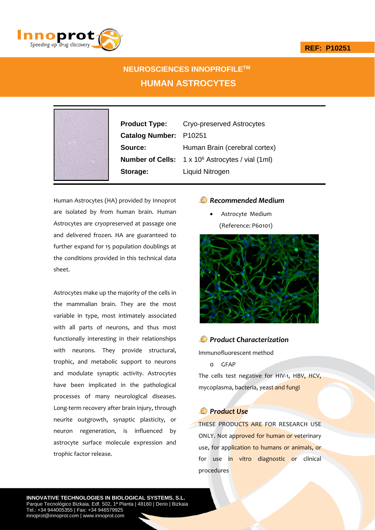



# **NEUROSCIENCES INNOPROFILETM HUMAN ASTROCYTES**



**Product Type:** Cryo-preserved Astrocytes **Catalog Number:** P10251 **Source:** Human Brain (cerebral cortex) **Number of Cells:** 1 x 10<sup>6</sup> Astrocytes / vial (1ml) **Storage:** Liquid Nitrogen

Human Astrocytes (HA) provided by Innoprot are isolated by from human brain. Human Astrocytes are cryopreserved at passage one and delivered frozen. HA are guaranteed to further expand for 15 population doublings at the conditions provided in this technical data sheet.

Astrocytes make up the majority of the cells in the mammalian brain. They are the most variable in type, most intimately associated with all parts of neurons, and thus most functionally interesting in their relationships with neurons. They provide structural, trophic, and metabolic support to neurons and modulate synaptic activity. Astrocytes have been implicated in the pathological processes of many neurological diseases. Long‐term recovery after brain injury, through neurite outgrowth, synaptic plasticity, or neuron regeneration, is influenced by astrocyte surface molecule expression and trophic factor release.

### *Recommended Medium*

 Astrocyte Medium (Reference: P60101)



### *Product Characterization*

Immunofluorescent method

o GFAP

The cells test negative for HIV-1, HBV, HCV, mycoplasma, bacteria, yeast and fungi

## *Product Use*

THESE PRODUCTS ARE FOR RESEARCH USE ONLY. Not approved for human or veterinary use, for application to humans or animals, or for use in vitro diagnostic or clinical procedures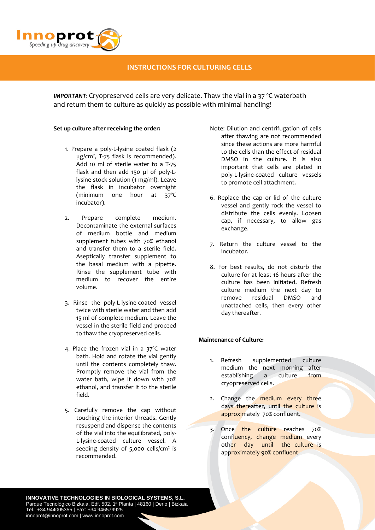

### **INSTRUCTIONS FOR CULTURING CELLS**

*IMPORTANT*: Cryopreserved cells are very delicate. Thaw the vial in a 37 ºC waterbath and return them to culture as quickly as possible with minimal handling!

#### **Set up culture after receiving the order:**

- 1. Prepare a poly‐L‐lysine coated flask (2 μg/cm2 , T‐75 flask is recommended). Add 10 ml of sterile water to a T‐75 flask and then add 150 μl of poly‐L‐ lysine stock solution (1 mg/ml). Leave the flask in incubator overnight (minimum one hour at 37ºC incubator).
- 2. Prepare complete medium. Decontaminate the external surfaces of medium bottle and medium supplement tubes with 70% ethanol and transfer them to a sterile field. Aseptically transfer supplement to the basal medium with a pipette. Rinse the supplement tube with medium to recover the entire volume.
- 3. Rinse the poly‐L‐lysine‐coated vessel twice with sterile water and then add 15 ml of complete medium. Leave the vessel in the sterile field and proceed to thaw the cryopreserved cells.
- 4. Place the frozen vial in a 37ºC water bath. Hold and rotate the vial gently until the contents completely thaw. Promptly remove the vial from the water bath, wipe it down with 70% ethanol, and transfer it to the sterile field.
- 5. Carefully remove the cap without touching the interior threads. Gently resuspend and dispense the contents of the vial into the equilibrated, poly‐ L‐lysine‐coated culture vessel. A seeding density of  $5,000$  cells/cm<sup>2</sup> is recommended.
- Note: Dilution and centrifugation of cells after thawing are not recommended since these actions are more harmful to the cells than the effect of residual DMSO in the culture. It is also important that cells are plated in poly‐L‐lysine‐coated culture vessels to promote cell attachment.
- 6. Replace the cap or lid of the culture vessel and gently rock the vessel to distribute the cells evenly. Loosen cap, if necessary, to allow gas exchange.
- 7. Return the culture vessel to the incubator.
- 8. For best results, do not disturb the culture for at least 16 hours after the culture has been initiated. Refresh culture medium the next day to remove residual DMSO and unattached cells, then every other day thereafter.

#### **Maintenance of Culture:**

- 1. Refresh supplemented culture medium the next morning after establishing a culture from cryopreserved cells.
- 2. Change the medium every three days thereafter, until the culture is approximately 70% confluent.
- 3. Once the culture reaches 70% confluency, change medium every other day until the culture is approximately 90% confluent.